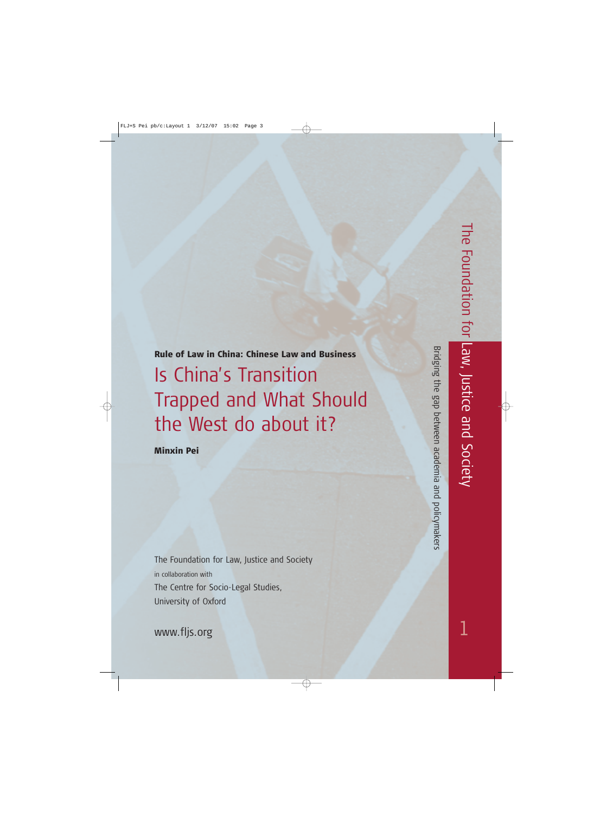Rule of Law in China: Chinese Law and Business Is China's Transition Trapped and What Should the West do about it?

Minxin Pei

The Foundation for Law, Justice and Society in collaboration with The Centre for Socio-Legal Studies, University of Oxford

www.fljs.org

Bridging the gap between academia and policymakers Bridging the gap between academia and policymakers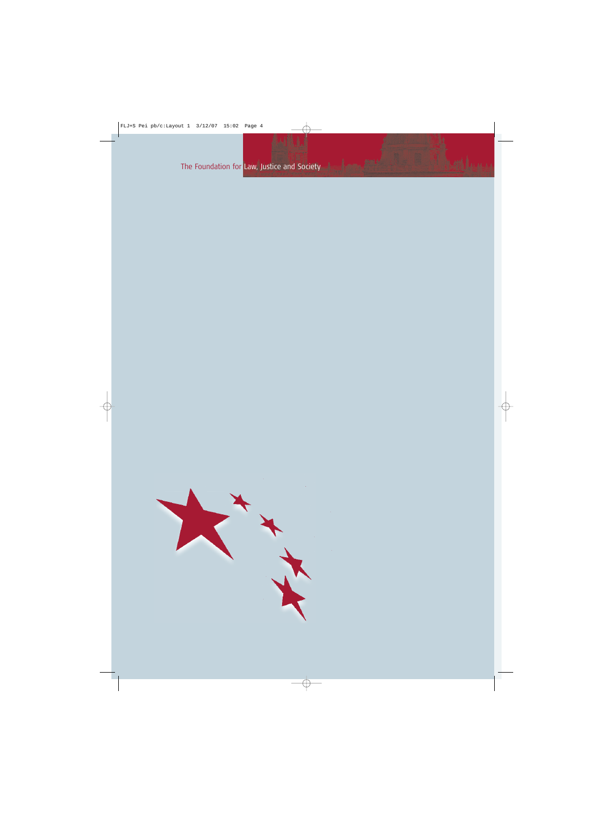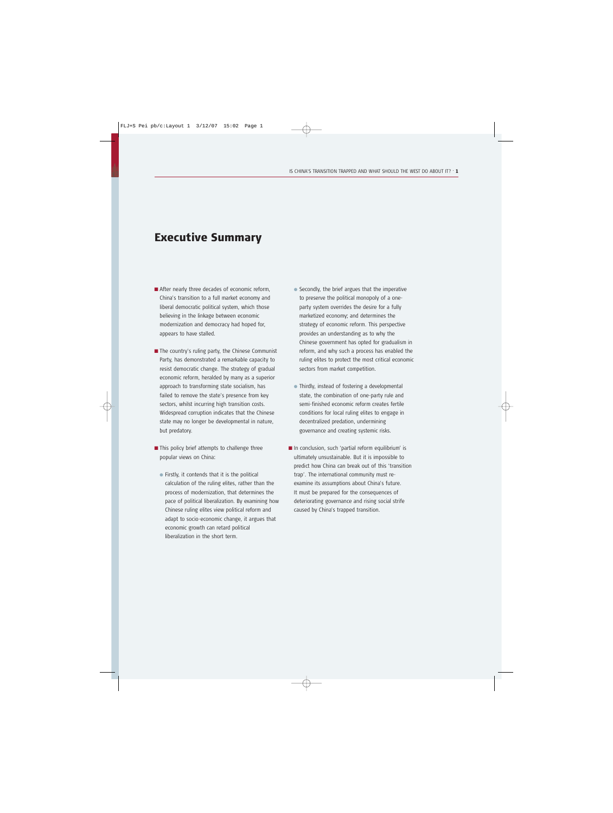# Executive Summary

- After nearly three decades of economic reform, China's transition to a full market economy and liberal democratic political system, which those believing in the linkage between economic modernization and democracy had hoped for, appears to have stalled.
- The country's ruling party, the Chinese Communist Party, has demonstrated a remarkable capacity to resist democratic change. The strategy of gradual economic reform, heralded by many as a superior approach to transforming state socialism, has failed to remove the state's presence from key sectors, whilst incurring high transition costs. Widespread corruption indicates that the Chinese state may no longer be developmental in nature, but predatory.
- This policy brief attempts to challenge three popular views on China:
	- Firstly, it contends that it is the political calculation of the ruling elites, rather than the process of modernization, that determines the pace of political liberalization. By examining how Chinese ruling elites view political reform and adapt to socio-economic change, it argues that economic growth can retard political liberalization in the short term.
- Secondly, the brief argues that the imperative to preserve the political monopoly of a oneparty system overrides the desire for a fully marketized economy; and determines the strategy of economic reform. This perspective provides an understanding as to why the Chinese government has opted for gradualism in reform, and why such a process has enabled the ruling elites to protect the most critical economic sectors from market competition.
- Thirdly, instead of fostering a developmental state, the combination of one-party rule and semi-finished economic reform creates fertile conditions for local ruling elites to engage in decentralized predation, undermining governance and creating systemic risks.
- In conclusion, such 'partial reform equilibrium' is ultimately unsustainable. But it is impossible to predict how China can break out of this 'transition trap'. The international community must reexamine its assumptions about China's future. It must be prepared for the consequences of deteriorating governance and rising social strife caused by China's trapped transition.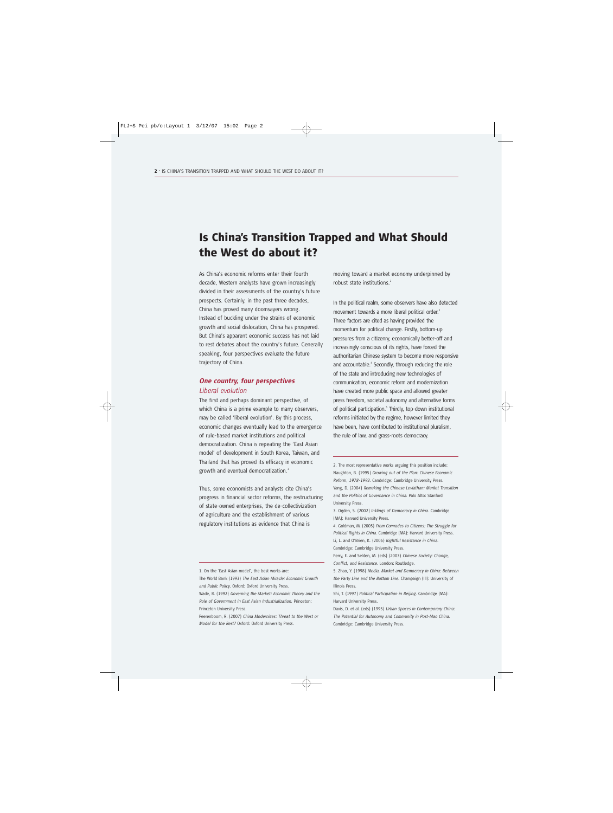# Is China's Transition Trapped and What Should the West do about it?

As China's economic reforms enter their fourth decade, Western analysts have grown increasingly divided in their assessments of the country's future prospects. Certainly, in the past three decades, China has proved many doomsayers wrong. Instead of buckling under the strains of economic growth and social dislocation, China has prospered. But China's apparent economic success has not laid to rest debates about the country's future. Generally speaking, four perspectives evaluate the future trajectory of China.

# *One country, four perspectives Liberal evolution*

The first and perhaps dominant perspective, of which China is a prime example to many observers, may be called 'liberal evolution'. By this process, economic changes eventually lead to the emergence of rule-based market institutions and political democratization. China is repeating the 'East Asian model' of development in South Korea, Taiwan, and Thailand that has proved its efficacy in economic growth and eventual democratization.<sup>1</sup>

Thus, some economists and analysts cite China's progress in financial sector reforms, the restructuring of state-owned enterprises, the de-collectivization of agriculture and the establishment of various regulatory institutions as evidence that China is

moving toward a market economy underpinned by robust state institutions.<sup>2</sup>

In the political realm, some observers have also detected movement towards a more liberal political order.<sup>3</sup> Three factors are cited as having provided the momentum for political change. Firstly, bottom-up pressures from a citizenry, economically better-off and increasingly conscious of its rights, have forced the authoritarian Chinese system to become more responsive and accountable.<sup>4</sup> Secondly, through reducing the role of the state and introducing new technologies of communication, economic reform and modernization have created more public space and allowed greater press freedom, societal autonomy and alternative forms of political participation.<sup>5</sup> Thirdly, top-down institutional reforms initiated by the regime, however limited they have been, have contributed to institutional pluralism, the rule of law, and grass-roots democracy.

2. The most representative works arguing this position include: Naughton, B. (1995) *Growing out of the Plan: Chinese Economic Reform, 1978-1993*. Cambridge: Cambridge University Press. Yang, D. (2004) *Remaking the Chinese Leviathan: Market Transition and the Politics of Governance in China*. Palo Alto: Stanford University Press.

3. Ogden, S. (2002) *Inklings of Democracy in China*. Cambridge (MA): Harvard University Press.

4. Goldman, M. (2005) *From Comrades to Citizens: The Struggle for Political Rights in China*. Cambridge (MA): Harvard University Press. Li, L. and O'Brien, K. (2006) *Rightful Resistance in China*.

Cambridge: Cambridge University Press.

Perry, E. and Selden, M. (eds) (2003) *Chinese Society: Change, Conflict, and Resistance*. London: Routledge.

5. Zhao, Y. (1998) *Media, Market and Democracy in China: Between the Party Line and the Bottom Line*. Champaign (Ill): University of Illinois Press.

Shi, T. (1997) *Political Participation in Beijing*. Cambridge (MA): Harvard University Press.

Davis, D. et al. (eds) (1995) *Urban Spaces in Contemporary China: The Potential for Autonomy and Community in Post-Mao China*. Cambridge: Cambridge University Press.

The World Bank (1993) *The East Asian Miracle: Economic Growth and Public Policy*. Oxford: Oxford University Press.

<sup>1.</sup> On the 'East Asian model', the best works are:

Wade, R. (1992) *Governing the Market: Economic Theory and the Role of Government in East Asian Industrialization*. Princeton: Princeton University Press.

Peerenboom, R. (2007) *China Modernizes: Threat to the West or Model for the Rest?* Oxford: Oxford University Press.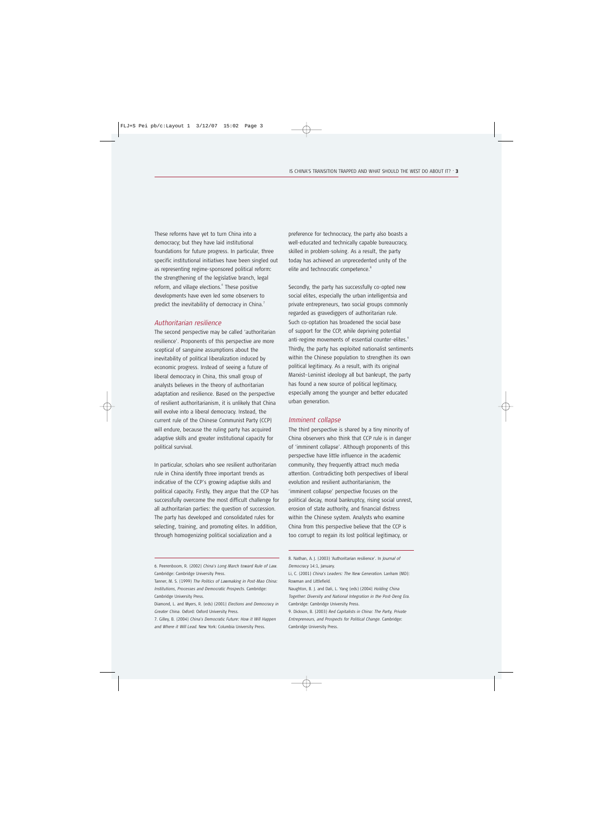These reforms have yet to turn China into a democracy; but they have laid institutional foundations for future progress. In particular, three specific institutional initiatives have been singled out as representing regime-sponsored political reform: the strengthening of the legislative branch, legal reform, and village elections.<sup>6</sup> These positive developments have even led some observers to predict the inevitability of democracy in China.<sup>7</sup>

### *Authoritarian resilience*

The second perspective may be called 'authoritarian resilience'. Proponents of this perspective are more sceptical of sanguine assumptions about the inevitability of political liberalization induced by economic progress. Instead of seeing a future of liberal democracy in China, this small group of analysts believes in the theory of authoritarian adaptation and resilience. Based on the perspective of resilient authoritarianism, it is unlikely that China will evolve into a liberal democracy. Instead, the current rule of the Chinese Communist Party (CCP) will endure, because the ruling party has acquired adaptive skills and greater institutional capacity for political survival.

In particular, scholars who see resilient authoritarian rule in China identify three important trends as indicative of the CCP's growing adaptive skills and political capacity. Firstly, they argue that the CCP has successfully overcome the most difficult challenge for all authoritarian parties: the question of succession. The party has developed and consolidated rules for selecting, training, and promoting elites. In addition, through homogenizing political socialization and a

perspective have little influence in the academic community, they frequently attract much media

attention. Contradicting both perspectives of liberal evolution and resilient authoritarianism, the 'imminent collapse' perspective focuses on the political decay, moral bankruptcy, rising social unrest, erosion of state authority, and financial distress within the Chinese system. Analysts who examine China from this perspective believe that the CCP is too corrupt to regain its lost political legitimacy, or

Secondly, the party has successfully co-opted new social elites, especially the urban intelligentsia and private entrepreneurs, two social groups commonly regarded as gravediggers of authoritarian rule. Such co-optation has broadened the social base of support for the CCP, while depriving potential anti-regime movements of essential counter-elites.<sup>9</sup> Thirdly, the party has exploited nationalist sentiments within the Chinese population to strengthen its own political legitimacy. As a result, with its original Marxist–Leninist ideology all but bankrupt, the party has found a new source of political legitimacy, especially among the younger and better educated urban generation.

The third perspective is shared by a tiny minority of China observers who think that CCP rule is in danger of 'imminent collapse'. Although proponents of this

#### *Imminent collapse*

8. Nathan, A. J. (2003) 'Authoritarian resilience'. In *Journal of Democracy* 14:1, January.

Naughton, B. J. and DaIi, L. Yang (eds) (2004) *Holding China Together: Diversity and National Integration in the Post-Deng Era*. Cambridge: Cambridge University Press.

9. Dickson, B. (2003) *Red Capitalists in China: The Party, Private Entrepreneurs, and Prospects for Political Change.* Cambridge: Cambridge University Press.

<sup>6.</sup> Peerenboom, R. (2002) *China's Long March toward Rule of Law*. Cambridge: Cambridge University Press.

Tanner, M. S. (1999) *The Politics of Lawmaking in Post-Mao China: Institutions, Processes and Democratic Prospects.* Cambridge: Cambridge University Press.

Diamond, L. and Myers, R. (eds) (2001) *Elections and Democracy in Greater China*. Oxford: Oxford University Press.

<sup>7.</sup> Gilley, B. (2004) *China's Democratic Future: How it Will Happen and Where it Will Lead*. New York: Columbia University Press.

preference for technocracy, the party also boasts a well-educated and technically capable bureaucracy, skilled in problem-solving. As a result, the party today has achieved an unprecedented unity of the elite and technocratic competence.<sup>8</sup>

Li, C. (2001) *China's Leaders: The New Generation*. Lanham (MD): Rowman and Littlefield.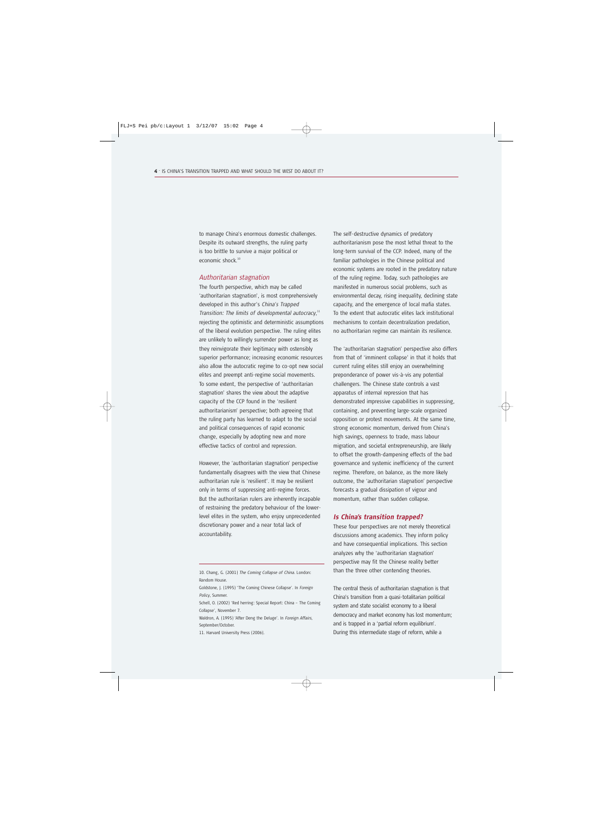to manage China's enormous domestic challenges. Despite its outward strengths, the ruling party is too brittle to survive a major political or economic shock.<sup>10</sup>

### *Authoritarian stagnation*

The fourth perspective, which may be called 'authoritarian stagnation', is most comprehensively developed in this author's *China's Trapped* Transition: The limits of developmental autocracy,<sup>11</sup> rejecting the optimistic and deterministic assumptions of the liberal evolution perspective. The ruling elites are unlikely to willingly surrender power as long as they reinvigorate their legitimacy with ostensibly superior performance; increasing economic resources also allow the autocratic regime to co-opt new social elites and preempt anti-regime social movements. To some extent, the perspective of 'authoritarian stagnation' shares the view about the adaptive capacity of the CCP found in the 'resilient authoritarianism' perspective; both agreeing that the ruling party has learned to adapt to the social and political consequences of rapid economic change, especially by adopting new and more effective tactics of control and repression.

However, the 'authoritarian stagnation' perspective fundamentally disagrees with the view that Chinese authoritarian rule is 'resilient'. It may be resilient only in terms of suppressing anti-regime forces. But the authoritarian rulers are inherently incapable of restraining the predatory behaviour of the lowerlevel elites in the system, who enjoy unprecedented discretionary power and a near total lack of accountability.

11. Harvard University Press (2006).

The self-destructive dynamics of predatory authoritarianism pose the most lethal threat to the long-term survival of the CCP. Indeed, many of the familiar pathologies in the Chinese political and economic systems are rooted in the predatory nature of the ruling regime. Today, such pathologies are manifested in numerous social problems, such as environmental decay, rising inequality, declining state capacity, and the emergence of local mafia states. To the extent that autocratic elites lack institutional mechanisms to contain decentralization predation, no authoritarian regime can maintain its resilience.

The 'authoritarian stagnation' perspective also differs from that of 'imminent collapse' in that it holds that current ruling elites still enjoy an overwhelming preponderance of power vis-à-vis any potential challengers. The Chinese state controls a vast apparatus of internal repression that has demonstrated impressive capabilities in suppressing, containing, and preventing large-scale organized opposition or protest movements. At the same time, strong economic momentum, derived from China's high savings, openness to trade, mass labour migration, and societal entrepreneurship, are likely to offset the growth-dampening effects of the bad governance and systemic inefficiency of the current regime. Therefore, on balance, as the more likely outcome, the 'authoritarian stagnation' perspective forecasts a gradual dissipation of vigour and momentum, rather than sudden collapse.

#### *Is China's transition trapped?*

These four perspectives are not merely theoretical discussions among academics. They inform policy and have consequential implications. This section analyzes why the 'authoritarian stagnation' perspective may fit the Chinese reality better than the three other contending theories.

The central thesis of authoritarian stagnation is that China's transition from a quasi-totalitarian political system and state socialist economy to a liberal democracy and market economy has lost momentum; and is trapped in a 'partial reform equilibrium'. During this intermediate stage of reform, while a

<sup>10.</sup> Chang, G. (2001) *The Coming Collapse of China*. London: Random House.

Goldstone, J. (1995) 'The Coming Chinese Collapse'. In *Foreign Policy*, Summer.

Schell, O. (2002) 'Red herring: Special Report: China – The Coming Collapse', November 7.

Waldron, A. (1995) 'After Deng the Deluge'. In *Foreign Affairs*, September/October.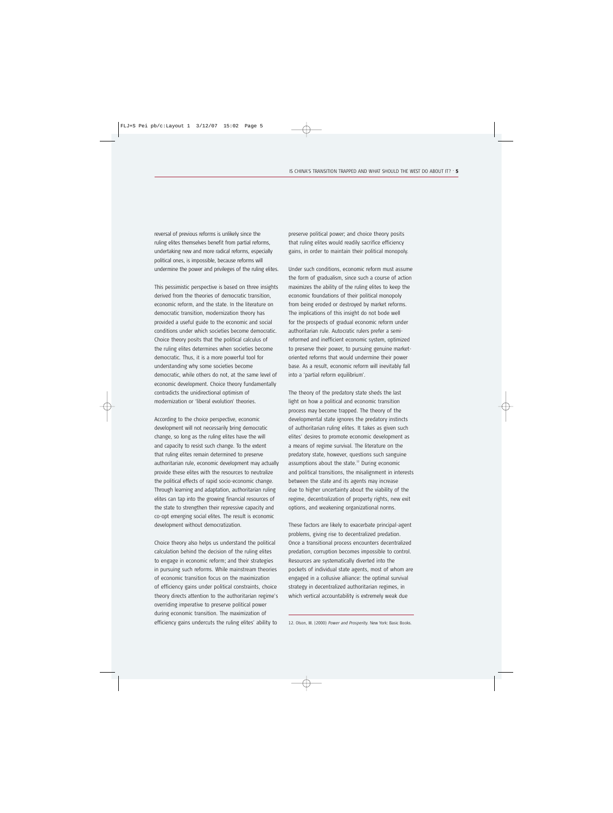reversal of previous reforms is unlikely since the ruling elites themselves benefit from partial reforms, undertaking new and more radical reforms, especially political ones, is impossible, because reforms will undermine the power and privileges of the ruling elites.

This pessimistic perspective is based on three insights derived from the theories of democratic transition, economic reform, and the state. In the literature on democratic transition, modernization theory has provided a useful guide to the economic and social conditions under which societies become democratic. Choice theory posits that the political calculus of the ruling elites determines when societies become democratic. Thus, it is a more powerful tool for understanding why some societies become democratic, while others do not, at the same level of economic development. Choice theory fundamentally contradicts the unidirectional optimism of modernization or 'liberal evolution' theories.

According to the choice perspective, economic development will not necessarily bring democratic change, so long as the ruling elites have the will and capacity to resist such change. To the extent that ruling elites remain determined to preserve authoritarian rule, economic development may actually provide these elites with the resources to neutralize the political effects of rapid socio-economic change. Through learning and adaptation, authoritarian ruling elites can tap into the growing financial resources of the state to strengthen their repressive capacity and co-opt emerging social elites. The result is economic development without democratization.

Choice theory also helps us understand the political calculation behind the decision of the ruling elites to engage in economic reform; and their strategies in pursuing such reforms. While mainstream theories of economic transition focus on the maximization of efficiency gains under political constraints, choice theory directs attention to the authoritarian regime's overriding imperative to preserve political power during economic transition. The maximization of efficiency gains undercuts the ruling elites' ability to

preserve political power; and choice theory posits that ruling elites would readily sacrifice efficiency gains, in order to maintain their political monopoly.

Under such conditions, economic reform must assume the form of gradualism, since such a course of action maximizes the ability of the ruling elites to keep the economic foundations of their political monopoly from being eroded or destroyed by market reforms. The implications of this insight do not bode well for the prospects of gradual economic reform under authoritarian rule. Autocratic rulers prefer a semireformed and inefficient economic system, optimized to preserve their power, to pursuing genuine marketoriented reforms that would undermine their power base. As a result, economic reform will inevitably fall into a 'partial reform equilibrium'.

The theory of the predatory state sheds the last light on how a political and economic transition process may become trapped. The theory of the developmental state ignores the predatory instincts of authoritarian ruling elites. It takes as given such elites' desires to promote economic development as a means of regime survival. The literature on the predatory state, however, questions such sanguine assumptions about the state. $12$  During economic and political transitions, the misalignment in interests between the state and its agents may increase due to higher uncertainty about the viability of the regime, decentralization of property rights, new exit options, and weakening organizational norms.

These factors are likely to exacerbate principal-agent problems, giving rise to decentralized predation. Once a transitional process encounters decentralized predation, corruption becomes impossible to control. Resources are systematically diverted into the pockets of individual state agents, most of whom are engaged in a collusive alliance: the optimal survival strategy in decentralized authoritarian regimes, in which vertical accountability is extremely weak due

12. Olson, M. (2000) *Power and Prosperity*. New York: Basic Books.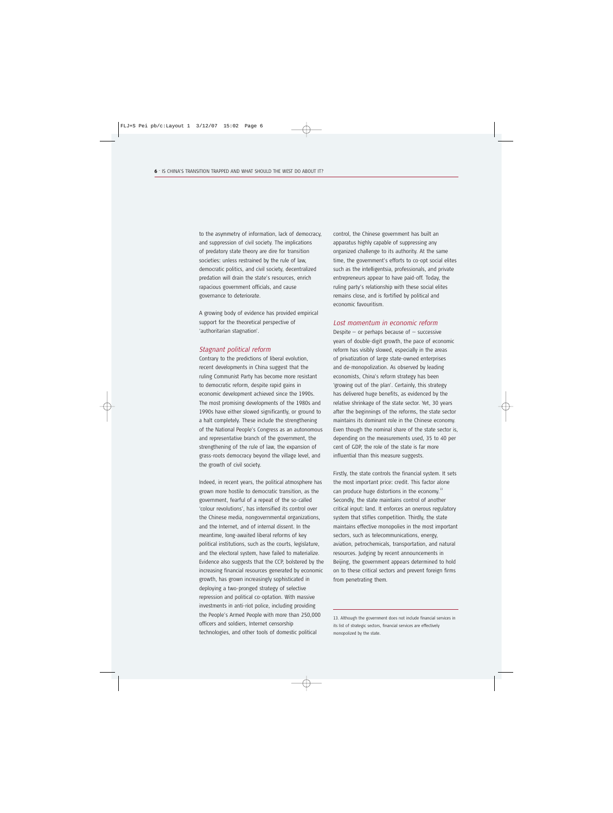to the asymmetry of information, lack of democracy, and suppression of civil society. The implications of predatory state theory are dire for transition societies: unless restrained by the rule of law, democratic politics, and civil society, decentralized predation will drain the state's resources, enrich rapacious government officials, and cause governance to deteriorate.

A growing body of evidence has provided empirical support for the theoretical perspective of 'authoritarian stagnation'.

### *Stagnant political reform*

Contrary to the predictions of liberal evolution, recent developments in China suggest that the ruling Communist Party has become more resistant to democratic reform, despite rapid gains in economic development achieved since the 1990s. The most promising developments of the 1980s and 1990s have either slowed significantly, or ground to a halt completely. These include the strengthening of the National People's Congress as an autonomous and representative branch of the government, the strengthening of the rule of law, the expansion of grass-roots democracy beyond the village level, and the growth of civil society.

Indeed, in recent years, the political atmosphere has grown more hostile to democratic transition, as the government, fearful of a repeat of the so-called 'colour revolutions', has intensified its control over the Chinese media, nongovernmental organizations, and the Internet, and of internal dissent. In the meantime, long-awaited liberal reforms of key political institutions, such as the courts, legislature, and the electoral system, have failed to materialize. Evidence also suggests that the CCP, bolstered by the increasing financial resources generated by economic growth, has grown increasingly sophisticated in deploying a two-pronged strategy of selective repression and political co-optation. With massive investments in anti-riot police, including providing the People's Armed People with more than 250,000 officers and soldiers, Internet censorship technologies, and other tools of domestic political

control, the Chinese government has built an apparatus highly capable of suppressing any organized challenge to its authority. At the same time, the government's efforts to co-opt social elites such as the intelligentsia, professionals, and private entrepreneurs appear to have paid-off. Today, the ruling party's relationship with these social elites remains close, and is fortified by political and economic favouritism.

#### *Lost momentum in economic reform*

Despite  $-$  or perhaps because of  $-$  successive years of double-digit growth, the pace of economic reform has visibly slowed, especially in the areas of privatization of large state-owned enterprises and de-monopolization. As observed by leading economists, China's reform strategy has been 'growing out of the plan'. Certainly, this strategy has delivered huge benefits, as evidenced by the relative shrinkage of the state sector. Yet, 30 years after the beginnings of the reforms, the state sector maintains its dominant role in the Chinese economy. Even though the nominal share of the state sector is, depending on the measurements used, 35 to 40 per cent of GDP, the role of the state is far more influential than this measure suggests.

Firstly, the state controls the financial system. It sets the most important price: credit. This factor alone can produce huge distortions in the economy.<sup>13</sup> Secondly, the state maintains control of another critical input: land. It enforces an onerous regulatory system that stifles competition. Thirdly, the state maintains effective monopolies in the most important sectors, such as telecommunications, energy, aviation, petrochemicals, transportation, and natural resources. Judging by recent announcements in Beijing, the government appears determined to hold on to these critical sectors and prevent foreign firms from penetrating them.

13. Although the government does not include financial services in its list of strategic sectors, financial services are effectively monopolized by the state.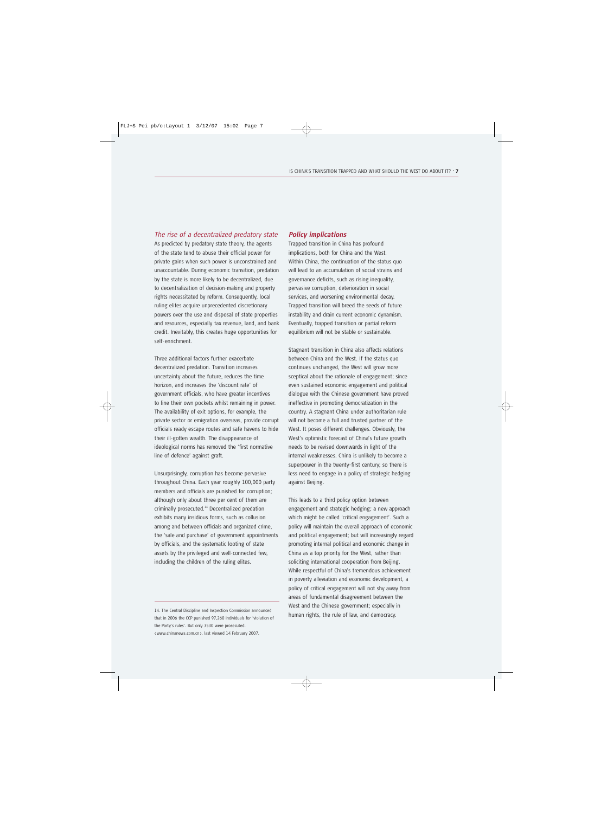### *The rise of a decentralized predatory state*

As predicted by predatory state theory, the agents of the state tend to abuse their official power for private gains when such power is unconstrained and unaccountable. During economic transition, predation by the state is more likely to be decentralized, due to decentralization of decision-making and property rights necessitated by reform. Consequently, local ruling elites acquire unprecedented discretionary powers over the use and disposal of state properties and resources, especially tax revenue, land, and bank credit. Inevitably, this creates huge opportunities for self-enrichment.

Three additional factors further exacerbate decentralized predation. Transition increases uncertainty about the future, reduces the time horizon, and increases the 'discount rate' of government officials, who have greater incentives to line their own pockets whilst remaining in power. The availability of exit options, for example, the private sector or emigration overseas, provide corrupt officials ready escape routes and safe havens to hide their ill-gotten wealth. The disappearance of ideological norms has removed the 'first normative line of defence' against graft.

Unsurprisingly, corruption has become pervasive throughout China. Each year roughly 100,000 party members and officials are punished for corruption; although only about three per cent of them are criminally prosecuted.<sup>14</sup> Decentralized predation exhibits many insidious forms, such as collusion among and between officials and organized crime, the 'sale and purchase' of government appointments by officials, and the systematic looting of state assets by the privileged and well-connected few, including the children of the ruling elites.

### *Policy implications*

Trapped transition in China has profound implications, both for China and the West. Within China, the continuation of the status quo will lead to an accumulation of social strains and governance deficits, such as rising inequality, pervasive corruption, deterioration in social services, and worsening environmental decay. Trapped transition will breed the seeds of future instability and drain current economic dynamism. Eventually, trapped transition or partial reform equilibrium will not be stable or sustainable.

Stagnant transition in China also affects relations between China and the West. If the status quo continues unchanged, the West will grow more sceptical about the rationale of engagement; since even sustained economic engagement and political dialogue with the Chinese government have proved ineffective in promoting democratization in the country. A stagnant China under authoritarian rule will not become a full and trusted partner of the West. It poses different challenges. Obviously, the West's optimistic forecast of China's future growth needs to be revised downwards in light of the internal weaknesses. China is unlikely to become a superpower in the twenty-first century; so there is less need to engage in a policy of strategic hedging against Beijing.

This leads to a third policy option between engagement and strategic hedging; a new approach which might be called 'critical engagement'. Such a policy will maintain the overall approach of economic and political engagement; but will increasingly regard promoting internal political and economic change in China as a top priority for the West, rather than soliciting international cooperation from Beijing. While respectful of China's tremendous achievement in poverty alleviation and economic development, a policy of critical engagement will not shy away from areas of fundamental disagreement between the West and the Chinese government; especially in

human rights, the rule of law, and democracy. 14. The Central Discipline and Inspection Commission announced that in 2006 the CCP punished 97,260 individuals for 'violation of the Party's rules'. But only 3530 were prosecuted. <www.chinanews.com.cn>, last viewed 14 February 2007.